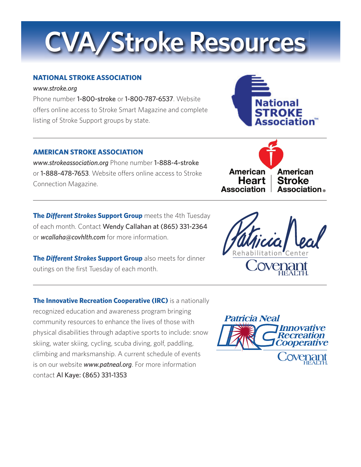# **CVA/Stroke Resources**

### **NATIONAL STROKE ASSOCIATION**

#### *www.stroke.org*

Phone number 1-800-stroke or 1-800-787-6537. Website offers online access to Stroke Smart Magazine and complete listing of Stroke Support groups by state.

### **AMERICAN STROKE ASSOCIATION**

*www.strokeassociation.org* Phone number 1-888-4-stroke or **1-888-478-7653**. Website offers online access to Stroke Connection Magazine.

**The Different Strokes Support Group** meets the 4th Tuesday of each month. Contact Wendy Callahan at (865) 331-2364 or *wcallaha@covhlth.com* for more information.

**The Different Strokes Support Group** also meets for dinner outings on the first Tuesday of each month.

**The Innovative Recreation Cooperative (IRC)** is a nationally recognized education and awareness program bringing community resources to enhance the lives of those with physical disabilities through adaptive sports to include: snow skiing, water skiing, cycling, scuba diving, golf, paddling, climbing and marksmanship. A current schedule of events is on our website *www.patneal.org*. For more information contact Al Kaye: (865) 331-1353



**Heart Association** 

**Stroke Association**